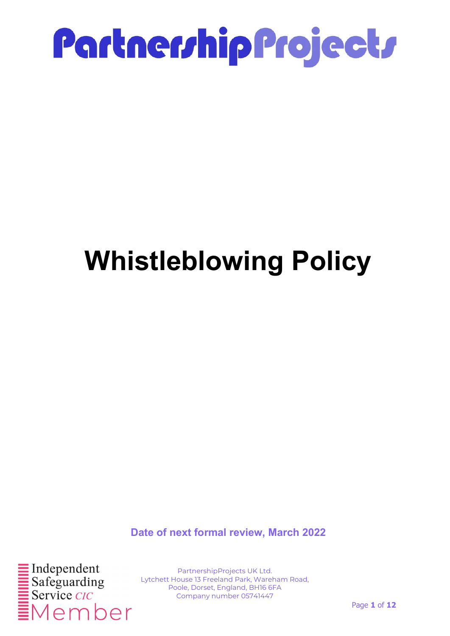

### Whistleblowing Policy

Date of next formal review, March 2022

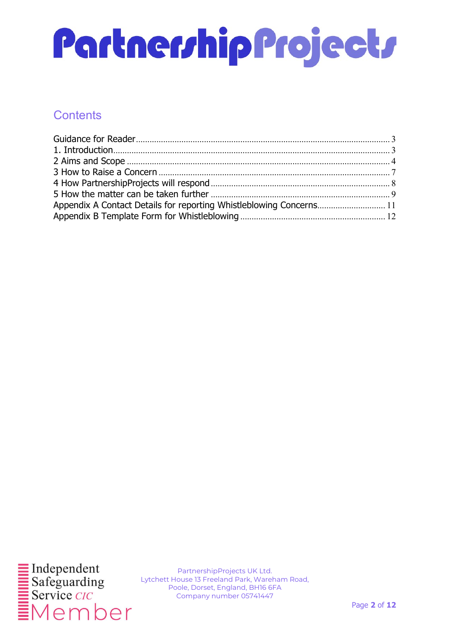### **Contents**

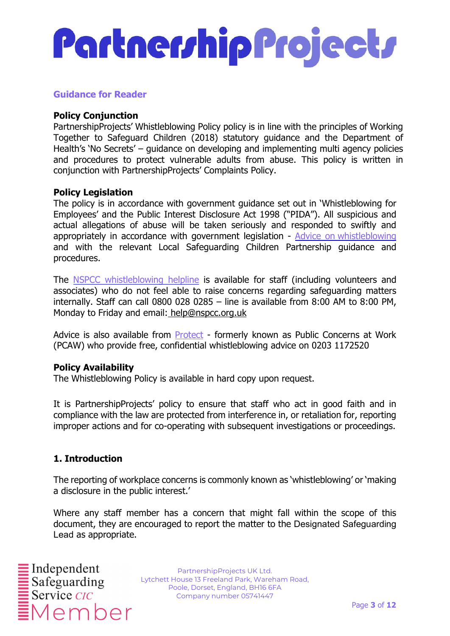#### Guidance for Reader

#### **Policy Conjunction**

PartnershipProjects' Whistleblowing Policy policy is in line with the principles of Working Together to Safeguard Children (2018) statutory guidance and the Department of Health's 'No Secrets' – guidance on developing and implementing multi agency policies and procedures to protect vulnerable adults from abuse. This policy is written in conjunction with PartnershipProjects' Complaints Policy.

#### Policy Legislation

The policy is in accordance with government guidance set out in 'Whistleblowing for Employees' and the Public Interest Disclosure Act 1998 ("PIDA"). All suspicious and actual allegations of abuse will be taken seriously and responded to swiftly and appropriately in accordance with government legislation - Advice on whistleblowing and with the relevant Local Safeguarding Children Partnership guidance and procedures.

The NSPCC whistleblowing helpline is available for staff (including volunteers and associates) who do not feel able to raise concerns regarding safeguarding matters internally. Staff can call 0800 028 0285 – line is available from 8:00 AM to 8:00 PM, Monday to Friday and email: help@nspcc.org.uk

Advice is also available from Protect - formerly known as Public Concerns at Work (PCAW) who provide free, confidential whistleblowing advice on 0203 1172520

#### Policy Availability

The Whistleblowing Policy is available in hard copy upon request.

It is PartnershipProjects' policy to ensure that staff who act in good faith and in compliance with the law are protected from interference in, or retaliation for, reporting improper actions and for co-operating with subsequent investigations or proceedings.

#### 1. Introduction

The reporting of workplace concerns is commonly known as 'whistleblowing' or 'making a disclosure in the public interest.'

Where any staff member has a concern that might fall within the scope of this document, they are encouraged to report the matter to the Designated Safeguarding Lead as appropriate.

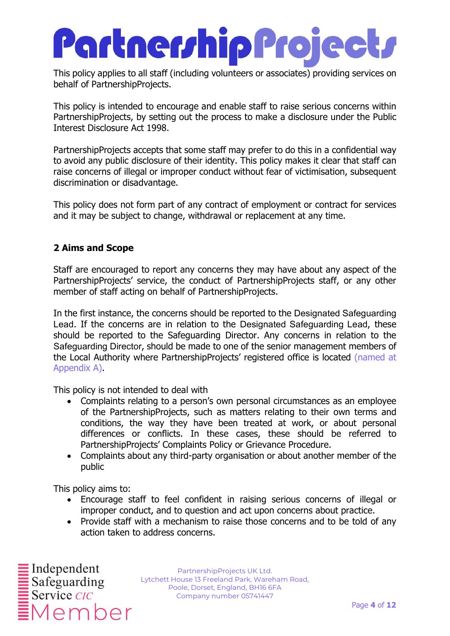This policy applies to all staff (including volunteers or associates) providing services on behalf of PartnershipProjects.

This policy is intended to encourage and enable staff to raise serious concerns within PartnershipProjects, by setting out the process to make a disclosure under the Public Interest Disclosure Act 1998.

PartnershipProjects accepts that some staff may prefer to do this in a confidential way to avoid any public disclosure of their identity. This policy makes it clear that staff can raise concerns of illegal or improper conduct without fear of victimisation, subsequent discrimination or disadvantage.

This policy does not form part of any contract of employment or contract for services and it may be subject to change, withdrawal or replacement at any time.

#### 2 Aims and Scope

Staff are encouraged to report any concerns they may have about any aspect of the PartnershipProjects' service, the conduct of PartnershipProjects staff, or any other member of staff acting on behalf of PartnershipProjects.

In the first instance, the concerns should be reported to the Designated Safeguarding Lead. If the concerns are in relation to the Designated Safeguarding Lead, these should be reported to the Safeguarding Director. Any concerns in relation to the Safeguarding Director, should be made to one of the senior management members of the Local Authority where PartnershipProjects' registered office is located (named at Appendix A).

This policy is not intended to deal with

- Complaints relating to a person's own personal circumstances as an employee of the PartnershipProjects, such as matters relating to their own terms and conditions, the way they have been treated at work, or about personal differences or conflicts. In these cases, these should be referred to PartnershipProjects' Complaints Policy or Grievance Procedure.
- Complaints about any third-party organisation or about another member of the public

This policy aims to:

- Encourage staff to feel confident in raising serious concerns of illegal or improper conduct, and to question and act upon concerns about practice.
- Provide staff with a mechanism to raise those concerns and to be told of any action taken to address concerns.

 $\frac{1}{2}$ Independent ember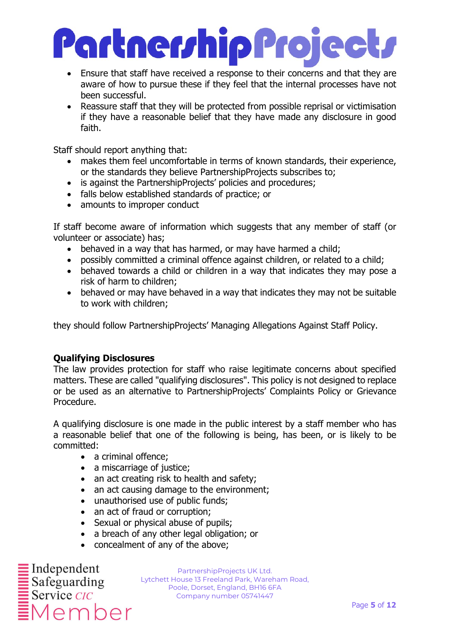### Partner/hip Project/

- Ensure that staff have received a response to their concerns and that they are aware of how to pursue these if they feel that the internal processes have not been successful.
- Reassure staff that they will be protected from possible reprisal or victimisation if they have a reasonable belief that they have made any disclosure in good faith.

Staff should report anything that:

- makes them feel uncomfortable in terms of known standards, their experience, or the standards they believe PartnershipProjects subscribes to;
- is against the PartnershipProjects' policies and procedures;
- falls below established standards of practice; or
- amounts to improper conduct

If staff become aware of information which suggests that any member of staff (or volunteer or associate) has;

- behaved in a way that has harmed, or may have harmed a child;
- possibly committed a criminal offence against children, or related to a child;
- behaved towards a child or children in a way that indicates they may pose a risk of harm to children;
- behaved or may have behaved in a way that indicates they may not be suitable to work with children;

they should follow PartnershipProjects' Managing Allegations Against Staff Policy.

#### Qualifying Disclosures

The law provides protection for staff who raise legitimate concerns about specified matters. These are called "qualifying disclosures". This policy is not designed to replace or be used as an alternative to PartnershipProjects' Complaints Policy or Grievance Procedure.

A qualifying disclosure is one made in the public interest by a staff member who has a reasonable belief that one of the following is being, has been, or is likely to be committed:

- a criminal offence;
- a miscarriage of justice:
- an act creating risk to health and safety;
- an act causing damage to the environment;
- unauthorised use of public funds;
- an act of fraud or corruption;
- Sexual or physical abuse of pupils;
- a breach of any other legal obligation; or
- concealment of any of the above;

 $\frac{1}{2}$ Independent  $\begin{array}{r}\n\hline\n\text{Safeguarding} \\
\hline\n\text{Serve } CIC\n\end{array}$ ember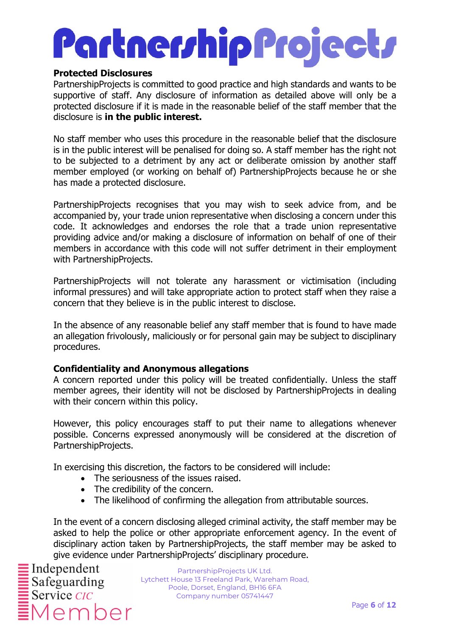## Partnerrhip Projectr

#### Protected Disclosures

PartnershipProjects is committed to good practice and high standards and wants to be supportive of staff. Any disclosure of information as detailed above will only be a protected disclosure if it is made in the reasonable belief of the staff member that the disclosure is in the public interest.

No staff member who uses this procedure in the reasonable belief that the disclosure is in the public interest will be penalised for doing so. A staff member has the right not to be subjected to a detriment by any act or deliberate omission by another staff member employed (or working on behalf of) PartnershipProjects because he or she has made a protected disclosure.

PartnershipProjects recognises that you may wish to seek advice from, and be accompanied by, your trade union representative when disclosing a concern under this code. It acknowledges and endorses the role that a trade union representative providing advice and/or making a disclosure of information on behalf of one of their members in accordance with this code will not suffer detriment in their employment with PartnershipProjects.

PartnershipProjects will not tolerate any harassment or victimisation (including informal pressures) and will take appropriate action to protect staff when they raise a concern that they believe is in the public interest to disclose.

In the absence of any reasonable belief any staff member that is found to have made an allegation frivolously, maliciously or for personal gain may be subject to disciplinary procedures.

#### Confidentiality and Anonymous allegations

A concern reported under this policy will be treated confidentially. Unless the staff member agrees, their identity will not be disclosed by PartnershipProjects in dealing with their concern within this policy.

However, this policy encourages staff to put their name to allegations whenever possible. Concerns expressed anonymously will be considered at the discretion of PartnershipProjects.

In exercising this discretion, the factors to be considered will include:

- The seriousness of the issues raised.
- The credibility of the concern.
- The likelihood of confirming the allegation from attributable sources.

In the event of a concern disclosing alleged criminal activity, the staff member may be asked to help the police or other appropriate enforcement agency. In the event of disciplinary action taken by PartnershipProjects, the staff member may be asked to give evidence under PartnershipProjects' disciplinary procedure.

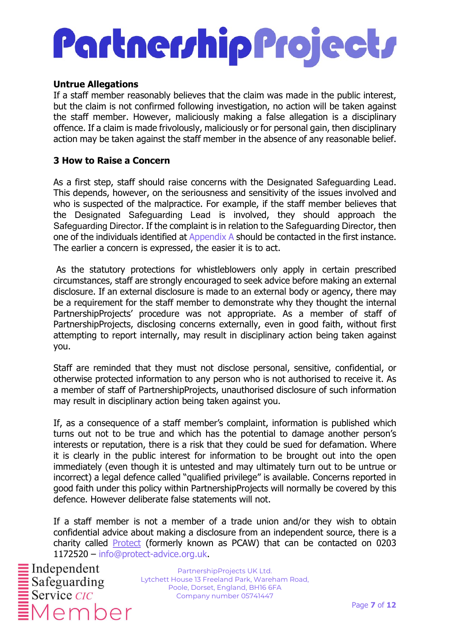#### Untrue Allegations

If a staff member reasonably believes that the claim was made in the public interest, but the claim is not confirmed following investigation, no action will be taken against the staff member. However, maliciously making a false allegation is a disciplinary offence. If a claim is made frivolously, maliciously or for personal gain, then disciplinary action may be taken against the staff member in the absence of any reasonable belief.

#### 3 How to Raise a Concern

As a first step, staff should raise concerns with the Designated Safeguarding Lead. This depends, however, on the seriousness and sensitivity of the issues involved and who is suspected of the malpractice. For example, if the staff member believes that the Designated Safeguarding Lead is involved, they should approach the Safeguarding Director. If the complaint is in relation to the Safeguarding Director, then one of the individuals identified at Appendix A should be contacted in the first instance. The earlier a concern is expressed, the easier it is to act.

 As the statutory protections for whistleblowers only apply in certain prescribed circumstances, staff are strongly encouraged to seek advice before making an external disclosure. If an external disclosure is made to an external body or agency, there may be a requirement for the staff member to demonstrate why they thought the internal PartnershipProjects' procedure was not appropriate. As a member of staff of PartnershipProjects, disclosing concerns externally, even in good faith, without first attempting to report internally, may result in disciplinary action being taken against you.

Staff are reminded that they must not disclose personal, sensitive, confidential, or otherwise protected information to any person who is not authorised to receive it. As a member of staff of PartnershipProjects, unauthorised disclosure of such information may result in disciplinary action being taken against you.

If, as a consequence of a staff member's complaint, information is published which turns out not to be true and which has the potential to damage another person's interests or reputation, there is a risk that they could be sued for defamation. Where it is clearly in the public interest for information to be brought out into the open immediately (even though it is untested and may ultimately turn out to be untrue or incorrect) a legal defence called "qualified privilege" is available. Concerns reported in good faith under this policy within PartnershipProjects will normally be covered by this defence. However deliberate false statements will not.

If a staff member is not a member of a trade union and/or they wish to obtain confidential advice about making a disclosure from an independent source, there is a charity called Protect (formerly known as PCAW) that can be contacted on 0203 1172520 – info@protect-advice.org.uk.

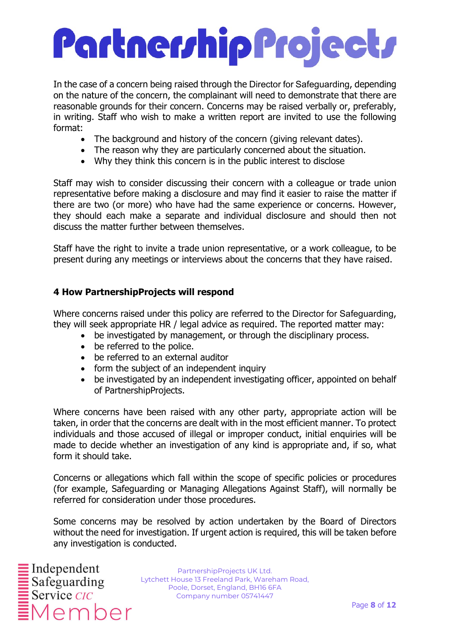In the case of a concern being raised through the Director for Safeguarding, depending on the nature of the concern, the complainant will need to demonstrate that there are reasonable grounds for their concern. Concerns may be raised verbally or, preferably, in writing. Staff who wish to make a written report are invited to use the following format:

- The background and history of the concern (giving relevant dates).
- The reason why they are particularly concerned about the situation.
- Why they think this concern is in the public interest to disclose

Staff may wish to consider discussing their concern with a colleague or trade union representative before making a disclosure and may find it easier to raise the matter if there are two (or more) who have had the same experience or concerns. However, they should each make a separate and individual disclosure and should then not discuss the matter further between themselves.

Staff have the right to invite a trade union representative, or a work colleague, to be present during any meetings or interviews about the concerns that they have raised.

#### 4 How PartnershipProjects will respond

Where concerns raised under this policy are referred to the Director for Safeguarding, they will seek appropriate HR / legal advice as required. The reported matter may:

- be investigated by management, or through the disciplinary process.
- be referred to the police.
- be referred to an external auditor
- form the subject of an independent inquiry
- be investigated by an independent investigating officer, appointed on behalf of PartnershipProjects.

Where concerns have been raised with any other party, appropriate action will be taken, in order that the concerns are dealt with in the most efficient manner. To protect individuals and those accused of illegal or improper conduct, initial enquiries will be made to decide whether an investigation of any kind is appropriate and, if so, what form it should take.

Concerns or allegations which fall within the scope of specific policies or procedures (for example, Safeguarding or Managing Allegations Against Staff), will normally be referred for consideration under those procedures.

Some concerns may be resolved by action undertaken by the Board of Directors without the need for investigation. If urgent action is required, this will be taken before any investigation is conducted.

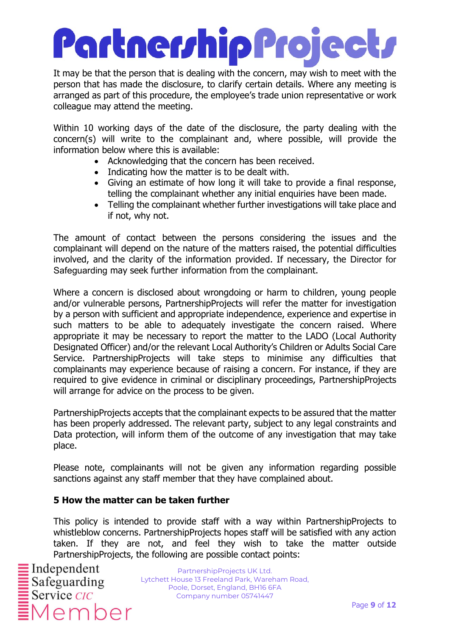It may be that the person that is dealing with the concern, may wish to meet with the person that has made the disclosure, to clarify certain details. Where any meeting is arranged as part of this procedure, the employee's trade union representative or work colleague may attend the meeting.

Within 10 working days of the date of the disclosure, the party dealing with the concern(s) will write to the complainant and, where possible, will provide the information below where this is available:

- Acknowledging that the concern has been received.
- Indicating how the matter is to be dealt with.
- Giving an estimate of how long it will take to provide a final response, telling the complainant whether any initial enquiries have been made.
- Telling the complainant whether further investigations will take place and if not, why not.

The amount of contact between the persons considering the issues and the complainant will depend on the nature of the matters raised, the potential difficulties involved, and the clarity of the information provided. If necessary, the Director for Safeguarding may seek further information from the complainant.

Where a concern is disclosed about wrongdoing or harm to children, young people and/or vulnerable persons, PartnershipProjects will refer the matter for investigation by a person with sufficient and appropriate independence, experience and expertise in such matters to be able to adequately investigate the concern raised. Where appropriate it may be necessary to report the matter to the LADO (Local Authority Designated Officer) and/or the relevant Local Authority's Children or Adults Social Care Service. PartnershipProjects will take steps to minimise any difficulties that complainants may experience because of raising a concern. For instance, if they are required to give evidence in criminal or disciplinary proceedings, PartnershipProjects will arrange for advice on the process to be given.

PartnershipProjects accepts that the complainant expects to be assured that the matter has been properly addressed. The relevant party, subject to any legal constraints and Data protection, will inform them of the outcome of any investigation that may take place.

Please note, complainants will not be given any information regarding possible sanctions against any staff member that they have complained about.

#### 5 How the matter can be taken further

This policy is intended to provide staff with a way within PartnershipProjects to whistleblow concerns. PartnershipProjects hopes staff will be satisfied with any action taken. If they are not, and feel they wish to take the matter outside PartnershipProjects, the following are possible contact points:

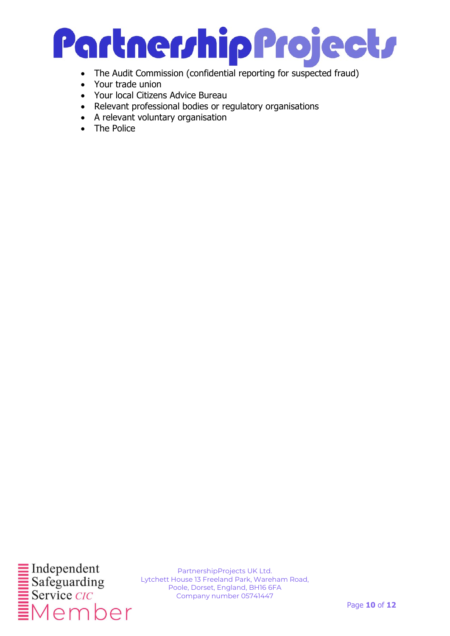

- The Audit Commission (confidential reporting for suspected fraud)
- Your trade union
- Your local Citizens Advice Bureau
- Relevant professional bodies or regulatory organisations
- A relevant voluntary organisation
- The Police

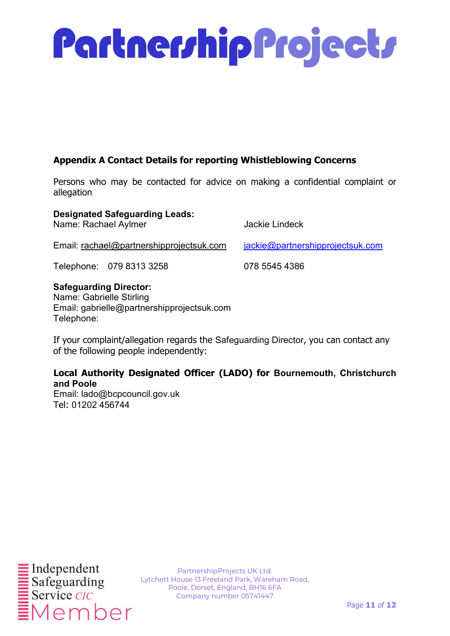

#### Appendix A Contact Details for reporting Whistleblowing Concerns

Persons who may be contacted for advice on making a confidential complaint or allegation

#### Designated Safeguarding Leads:

Name: Rachael Aylmer Jackie Lindeck

Email: rachael@partnershipprojectsuk.com jackie@partnershipprojectsuk.com

Telephone: 079 8313 3258 078 5545 4386

#### Safeguarding Director:

Name: Gabrielle Stirling Email: gabrielle@partnershipprojectsuk.com Telephone:

If your complaint/allegation regards the Safeguarding Director, you can contact any of the following people independently:

#### Local Authority Designated Officer (LADO) for Bournemouth, Christchurch and Poole

Email: lado@bcpcouncil.gov.uk Tel: 01202 456744